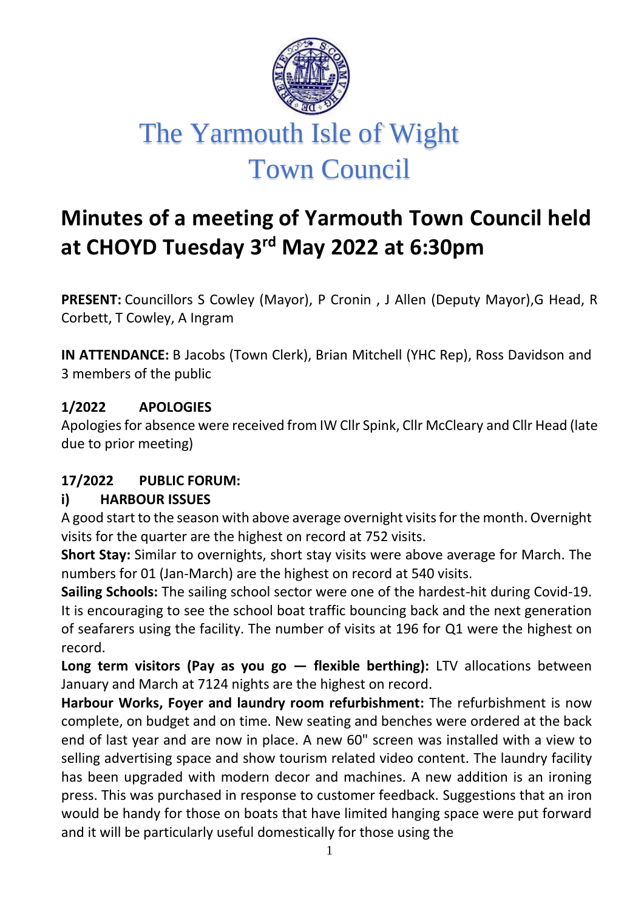

# **Minutes of a meeting of Yarmouth Town Council held at CHOYD Tuesday 3 rd May 2022 at 6:30pm**

**PRESENT:** Councillors S Cowley (Mayor), P Cronin , J Allen (Deputy Mayor),G Head, R Corbett, T Cowley, A Ingram

**IN ATTENDANCE:** B Jacobs (Town Clerk), Brian Mitchell (YHC Rep), Ross Davidson and 3 members of the public

#### **1/2022 APOLOGIES**

Apologies for absence were received from IW Cllr Spink, Cllr McCleary and Cllr Head (late due to prior meeting)

# **17/2022 PUBLIC FORUM:**

#### **i) HARBOUR ISSUES**

A good start to the season with above average overnight visits for the month. Overnight visits for the quarter are the highest on record at 752 visits.

**Short Stay:** Similar to overnights, short stay visits were above average for March. The numbers for 01 (Jan-March) are the highest on record at 540 visits.

**Sailing Schools:** The sailing school sector were one of the hardest-hit during Covid-19. It is encouraging to see the school boat traffic bouncing back and the next generation of seafarers using the facility. The number of visits at 196 for Q1 were the highest on record.

**Long term visitors (Pay as you go – flexible berthing):** LTV allocations between January and March at 7124 nights are the highest on record.

**Harbour Works, Foyer and laundry room refurbishment:** The refurbishment is now complete, on budget and on time. New seating and benches were ordered at the back end of last year and are now in place. A new 60" screen was installed with a view to selling advertising space and show tourism related video content. The laundry facility has been upgraded with modern decor and machines. A new addition is an ironing press. This was purchased in response to customer feedback. Suggestions that an iron would be handy for those on boats that have limited hanging space were put forward and it will be particularly useful domestically for those using the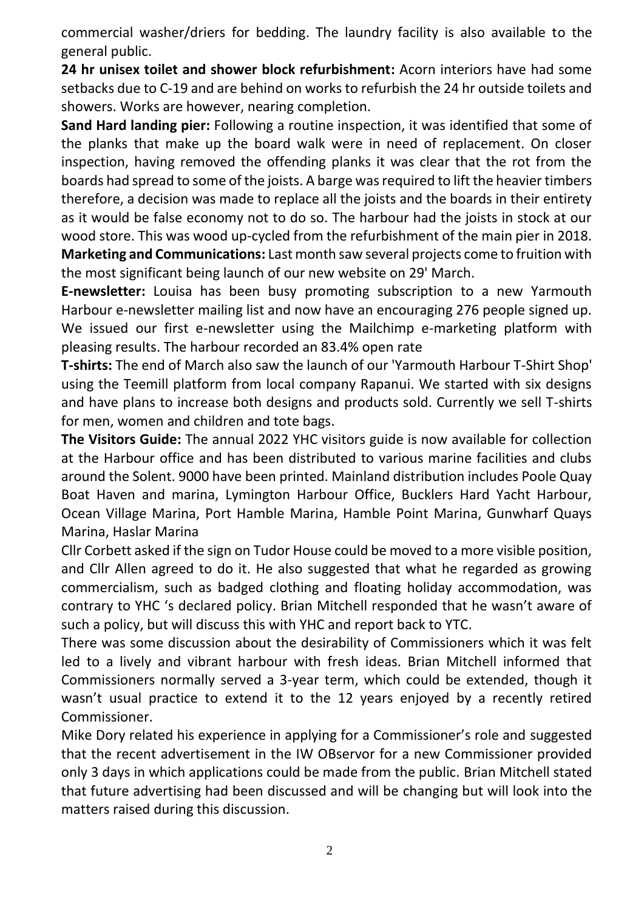commercial washer/driers for bedding. The laundry facility is also available to the general public.

**24 hr unisex toilet and shower block refurbishment:** Acorn interiors have had some setbacks due to C-19 and are behind on works to refurbish the 24 hr outside toilets and showers. Works are however, nearing completion.

**Sand Hard landing pier:** Following a routine inspection, it was identified that some of the planks that make up the board walk were in need of replacement. On closer inspection, having removed the offending planks it was clear that the rot from the boards had spread to some of the joists. A barge was required to lift the heavier timbers therefore, a decision was made to replace all the joists and the boards in their entirety as it would be false economy not to do so. The harbour had the joists in stock at our wood store. This was wood up-cycled from the refurbishment of the main pier in 2018. **Marketing and Communications:** Last month saw several projects come to fruition with the most significant being launch of our new website on 29' March.

**E-newsletter:** Louisa has been busy promoting subscription to a new Yarmouth Harbour e-newsletter mailing list and now have an encouraging 276 people signed up. We issued our first e-newsletter using the Mailchimp e-marketing platform with pleasing results. The harbour recorded an 83.4% open rate

**T-shirts:** The end of March also saw the launch of our 'Yarmouth Harbour T-Shirt Shop' using the Teemill platform from local company Rapanui. We started with six designs and have plans to increase both designs and products sold. Currently we sell T-shirts for men, women and children and tote bags.

**The Visitors Guide:** The annual 2022 YHC visitors guide is now available for collection at the Harbour office and has been distributed to various marine facilities and clubs around the Solent. 9000 have been printed. Mainland distribution includes Poole Quay Boat Haven and marina, Lymington Harbour Office, Bucklers Hard Yacht Harbour, Ocean Village Marina, Port Hamble Marina, Hamble Point Marina, Gunwharf Quays Marina, Haslar Marina

Cllr Corbett asked if the sign on Tudor House could be moved to a more visible position, and Cllr Allen agreed to do it. He also suggested that what he regarded as growing commercialism, such as badged clothing and floating holiday accommodation, was contrary to YHC 's declared policy. Brian Mitchell responded that he wasn't aware of such a policy, but will discuss this with YHC and report back to YTC.

There was some discussion about the desirability of Commissioners which it was felt led to a lively and vibrant harbour with fresh ideas. Brian Mitchell informed that Commissioners normally served a 3-year term, which could be extended, though it wasn't usual practice to extend it to the 12 years enjoyed by a recently retired Commissioner.

Mike Dory related his experience in applying for a Commissioner's role and suggested that the recent advertisement in the IW OBservor for a new Commissioner provided only 3 days in which applications could be made from the public. Brian Mitchell stated that future advertising had been discussed and will be changing but will look into the matters raised during this discussion.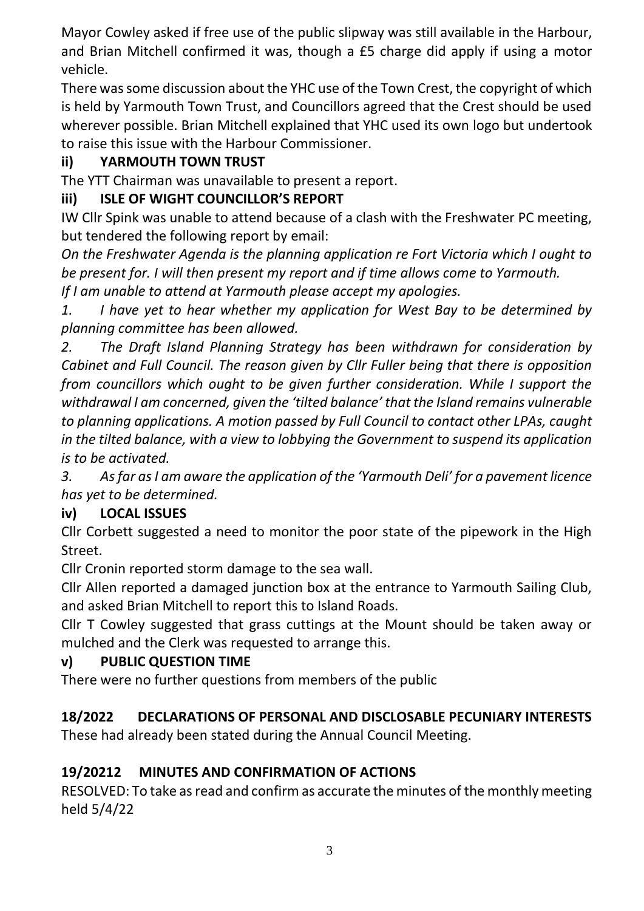Mayor Cowley asked if free use of the public slipway was still available in the Harbour, and Brian Mitchell confirmed it was, though a £5 charge did apply if using a motor vehicle.

There was some discussion about the YHC use of the Town Crest, the copyright of which is held by Yarmouth Town Trust, and Councillors agreed that the Crest should be used wherever possible. Brian Mitchell explained that YHC used its own logo but undertook to raise this issue with the Harbour Commissioner.

# **ii) YARMOUTH TOWN TRUST**

The YTT Chairman was unavailable to present a report.

# **iii) ISLE OF WIGHT COUNCILLOR'S REPORT**

IW Cllr Spink was unable to attend because of a clash with the Freshwater PC meeting, but tendered the following report by email:

*On the Freshwater Agenda is the planning application re Fort Victoria which I ought to be present for. I will then present my report and if time allows come to Yarmouth. If I am unable to attend at Yarmouth please accept my apologies.*

*1. I have yet to hear whether my application for West Bay to be determined by planning committee has been allowed.*

*2. The Draft Island Planning Strategy has been withdrawn for consideration by Cabinet and Full Council. The reason given by Cllr Fuller being that there is opposition from councillors which ought to be given further consideration. While I support the withdrawal I am concerned, given the 'tilted balance' that the Island remains vulnerable to planning applications. A motion passed by Full Council to contact other LPAs, caught in the tilted balance, with a view to lobbying the Government to suspend its application is to be activated.*

*3. As far as I am aware the application of the 'Yarmouth Deli' for a pavement licence has yet to be determined.*

# **iv) LOCAL ISSUES**

Cllr Corbett suggested a need to monitor the poor state of the pipework in the High Street.

Cllr Cronin reported storm damage to the sea wall.

Cllr Allen reported a damaged junction box at the entrance to Yarmouth Sailing Club, and asked Brian Mitchell to report this to Island Roads.

Cllr T Cowley suggested that grass cuttings at the Mount should be taken away or mulched and the Clerk was requested to arrange this.

# **v) PUBLIC QUESTION TIME**

There were no further questions from members of the public

# **18/2022 DECLARATIONS OF PERSONAL AND DISCLOSABLE PECUNIARY INTERESTS**

These had already been stated during the Annual Council Meeting.

# **19/20212 MINUTES AND CONFIRMATION OF ACTIONS**

RESOLVED: To take as read and confirm as accurate the minutes of the monthly meeting held 5/4/22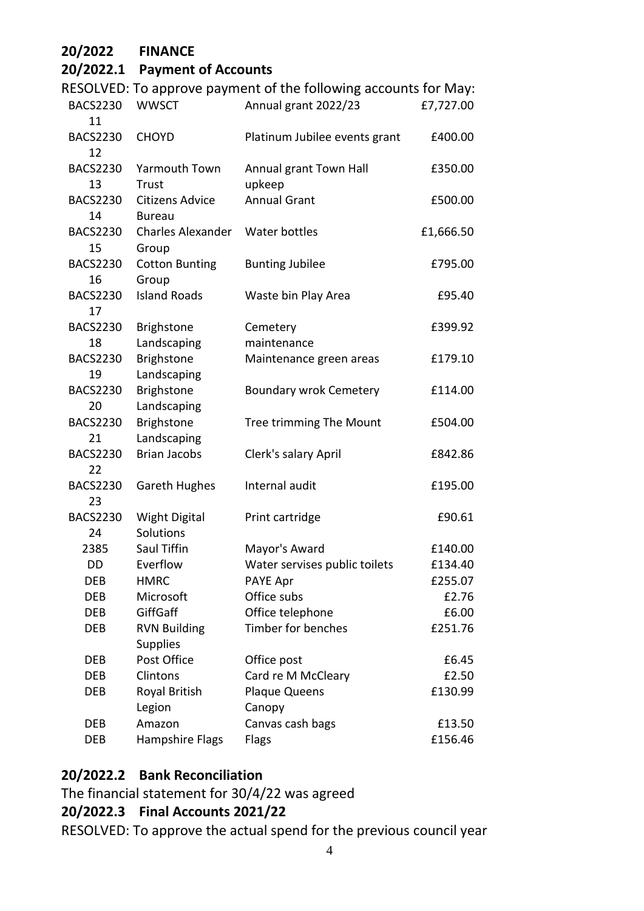| 20/2022<br><b>FINANCE</b>                                             |           |
|-----------------------------------------------------------------------|-----------|
| 20/2022.1<br><b>Payment of Accounts</b>                               |           |
| RESOLVED: To approve payment of the following accounts for May:       |           |
| <b>WWSCT</b><br>Annual grant 2022/23<br><b>BACS2230</b>               | £7,727.00 |
| 11                                                                    |           |
| <b>BACS2230</b><br><b>CHOYD</b><br>Platinum Jubilee events grant      | £400.00   |
| 12                                                                    |           |
| <b>Yarmouth Town</b><br><b>BACS2230</b><br>Annual grant Town Hall     | £350.00   |
| upkeep<br>13<br>Trust                                                 |           |
| <b>Annual Grant</b><br><b>BACS2230</b><br>Citizens Advice             | £500.00   |
| 14<br><b>Bureau</b>                                                   |           |
| <b>Charles Alexander</b><br>Water bottles<br><b>BACS2230</b>          | £1,666.50 |
| 15<br>Group                                                           |           |
| <b>BACS2230</b><br><b>Cotton Bunting</b><br><b>Bunting Jubilee</b>    | £795.00   |
| 16<br>Group                                                           |           |
| <b>Island Roads</b><br>Waste bin Play Area<br><b>BACS2230</b>         | £95.40    |
| 17                                                                    |           |
| <b>BACS2230</b><br><b>Brighstone</b><br>Cemetery                      | £399.92   |
| Landscaping<br>maintenance<br>18                                      |           |
| <b>Brighstone</b><br><b>BACS2230</b><br>Maintenance green areas       | £179.10   |
| Landscaping<br>19                                                     |           |
| <b>Brighstone</b><br><b>BACS2230</b><br><b>Boundary wrok Cemetery</b> | £114.00   |
| Landscaping<br>20                                                     |           |
| <b>Brighstone</b><br><b>BACS2230</b><br>Tree trimming The Mount       | £504.00   |
| Landscaping<br>21                                                     |           |
| <b>Brian Jacobs</b><br>Clerk's salary April<br><b>BACS2230</b>        | £842.86   |
| 22                                                                    |           |
| Internal audit<br><b>BACS2230</b><br><b>Gareth Hughes</b>             | £195.00   |
| 23<br><b>BACS2230</b>                                                 | £90.61    |
| <b>Wight Digital</b><br>Print cartridge<br>24<br>Solutions            |           |
| Saul Tiffin<br>2385<br>Mayor's Award                                  | £140.00   |
| Everflow<br>Water servises public toilets<br>DD                       | £134.40   |
| <b>HMRC</b><br>PAYE Apr<br><b>DEB</b>                                 | £255.07   |
| Office subs<br>Microsoft<br><b>DEB</b>                                | £2.76     |
| GiffGaff<br>Office telephone<br><b>DEB</b>                            | £6.00     |
| Timber for benches<br><b>RVN Building</b><br><b>DEB</b>               | £251.76   |
| <b>Supplies</b>                                                       |           |
| Post Office<br>Office post<br><b>DEB</b>                              | £6.45     |
| Clintons<br>Card re M McCleary<br><b>DEB</b>                          | £2.50     |
| Royal British<br>Plaque Queens<br><b>DEB</b>                          | £130.99   |
| Legion<br>Canopy                                                      |           |
| Canvas cash bags<br><b>DEB</b><br>Amazon                              | £13.50    |
| Hampshire Flags<br><b>DEB</b><br>Flags                                | £156.46   |

#### **20/2022.2 Bank Reconciliation**

The financial statement for 30/4/22 was agreed

#### **20/2022.3 Final Accounts 2021/22**

RESOLVED: To approve the actual spend for the previous council year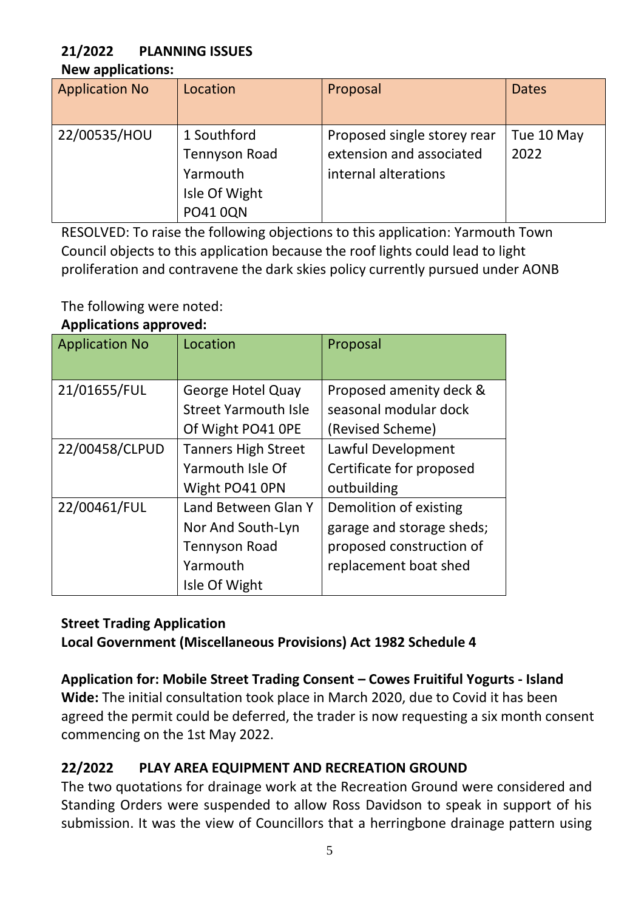# **21/2022 PLANNING ISSUES**

#### **New applications:**

| <b>Application No</b> | Location                                                                            | Proposal                                                                        | <b>Dates</b>       |
|-----------------------|-------------------------------------------------------------------------------------|---------------------------------------------------------------------------------|--------------------|
| 22/00535/HOU          | 1 Southford<br><b>Tennyson Road</b><br>Yarmouth<br>Isle Of Wight<br><b>PO41 0QN</b> | Proposed single storey rear<br>extension and associated<br>internal alterations | Tue 10 May<br>2022 |

RESOLVED: To raise the following objections to this application: Yarmouth Town Council objects to this application because the roof lights could lead to light proliferation and contravene the dark skies policy currently pursued under AONB

The following were noted:

#### **Applications approved:**

| <b>Application No</b> | Location                    | Proposal                  |
|-----------------------|-----------------------------|---------------------------|
| 21/01655/FUL          | <b>George Hotel Quay</b>    | Proposed amenity deck &   |
|                       | <b>Street Yarmouth Isle</b> | seasonal modular dock     |
|                       | Of Wight PO41 OPE           | (Revised Scheme)          |
| 22/00458/CLPUD        | <b>Tanners High Street</b>  | Lawful Development        |
|                       | Yarmouth Isle Of            | Certificate for proposed  |
|                       | Wight PO41 0PN              | outbuilding               |
| 22/00461/FUL          | Land Between Glan Y         | Demolition of existing    |
|                       | Nor And South-Lyn           | garage and storage sheds; |
|                       | <b>Tennyson Road</b>        | proposed construction of  |
|                       | Yarmouth                    | replacement boat shed     |
|                       | Isle Of Wight               |                           |

# **Street Trading Application**

**Local Government (Miscellaneous Provisions) Act 1982 Schedule 4**

# **Application for: Mobile Street Trading Consent – Cowes Fruitiful Yogurts - Island**

**Wide:** The initial consultation took place in March 2020, due to Covid it has been agreed the permit could be deferred, the trader is now requesting a six month consent commencing on the 1st May 2022.

# **22/2022 PLAY AREA EQUIPMENT AND RECREATION GROUND**

The two quotations for drainage work at the Recreation Ground were considered and Standing Orders were suspended to allow Ross Davidson to speak in support of his submission. It was the view of Councillors that a herringbone drainage pattern using